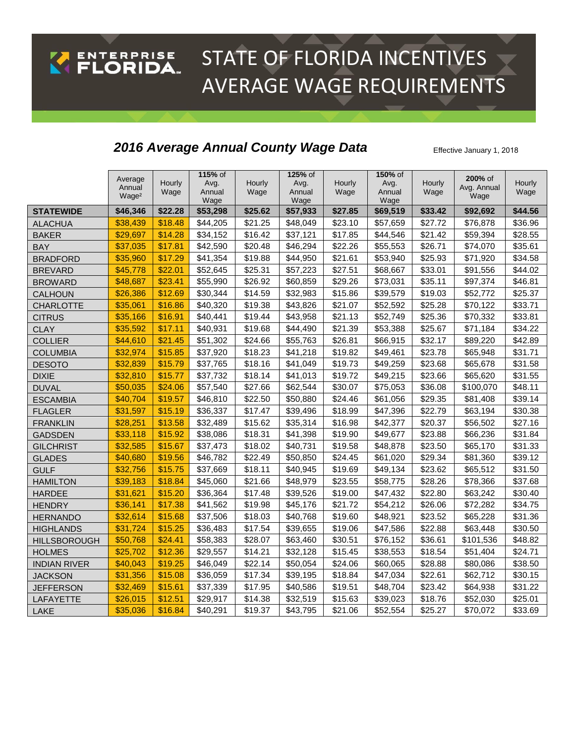## STATE OF FLORIDA INCENTIVES ENTERPRISE AVERAGE WAGE REQUIREMENTS

## **2016 Average Annual County Wage Data** Effective January 1, 2018

|                     | Average           |                | 115% of        |                | 125% of        |                | 150% of        |                | 200% of     |                |
|---------------------|-------------------|----------------|----------------|----------------|----------------|----------------|----------------|----------------|-------------|----------------|
|                     | Annual            | Hourly<br>Wage | Avg.<br>Annual | Hourly<br>Wage | Avg.<br>Annual | Hourly<br>Wage | Avg.<br>Annual | Hourly<br>Wage | Avg. Annual | Hourly<br>Wage |
|                     | Wage <sup>2</sup> |                | Wage           |                | Wage           |                | Wage           |                | Wage        |                |
| <b>STATEWIDE</b>    | \$46,346          | \$22.28        | \$53,298       | \$25.62        | \$57,933       | \$27.85        | \$69,519       | \$33.42        | \$92,692    | \$44.56        |
| <b>ALACHUA</b>      | \$38,439          | \$18.48        | \$44,205       | \$21.25        | \$48,049       | \$23.10        | \$57,659       | \$27.72        | \$76,878    | \$36.96        |
| <b>BAKER</b>        | \$29,697          | \$14.28        | \$34,152       | \$16.42        | \$37,121       | \$17.85        | \$44,546       | \$21.42        | \$59,394    | \$28.55        |
| <b>BAY</b>          | \$37,035          | \$17.81        | \$42,590       | \$20.48        | \$46,294       | \$22.26        | \$55,553       | \$26.71        | \$74,070    | \$35.61        |
| <b>BRADFORD</b>     | \$35,960          | \$17.29        | \$41,354       | \$19.88        | \$44,950       | \$21.61        | \$53,940       | \$25.93        | \$71,920    | \$34.58        |
| <b>BREVARD</b>      | \$45,778          | \$22.01        | \$52,645       | \$25.31        | \$57,223       | \$27.51        | \$68,667       | \$33.01        | \$91,556    | \$44.02        |
| <b>BROWARD</b>      | \$48,687          | \$23.41        | \$55,990       | \$26.92        | \$60,859       | \$29.26        | \$73,031       | \$35.11        | \$97,374    | \$46.81        |
| <b>CALHOUN</b>      | \$26,386          | \$12.69        | \$30,344       | \$14.59        | \$32,983       | \$15.86        | \$39,579       | \$19.03        | \$52,772    | \$25.37        |
| <b>CHARLOTTE</b>    | \$35,061          | \$16.86        | \$40,320       | \$19.38        | \$43,826       | \$21.07        | \$52,592       | \$25.28        | \$70,122    | \$33.71        |
| <b>CITRUS</b>       | \$35,166          | \$16.91        | \$40,441       | \$19.44        | \$43,958       | \$21.13        | \$52,749       | \$25.36        | \$70,332    | \$33.81        |
| <b>CLAY</b>         | \$35,592          | \$17.11        | \$40,931       | \$19.68        | \$44,490       | \$21.39        | \$53,388       | \$25.67        | \$71,184    | \$34.22        |
| <b>COLLIER</b>      | \$44,610          | \$21.45        | \$51,302       | \$24.66        | \$55,763       | \$26.81        | \$66,915       | \$32.17        | \$89,220    | \$42.89        |
| <b>COLUMBIA</b>     | \$32,974          | \$15.85        | \$37,920       | \$18.23        | \$41,218       | \$19.82        | \$49,461       | \$23.78        | \$65,948    | \$31.71        |
| <b>DESOTO</b>       | \$32,839          | \$15.79        | \$37,765       | \$18.16        | \$41,049       | \$19.73        | \$49,259       | \$23.68        | \$65,678    | \$31.58        |
| <b>DIXIE</b>        | \$32,810          | \$15.77        | \$37,732       | \$18.14        | \$41,013       | \$19.72        | \$49,215       | \$23.66        | \$65,620    | \$31.55        |
| <b>DUVAL</b>        | \$50,035          | \$24.06        | \$57,540       | \$27.66        | \$62,544       | \$30.07        | \$75,053       | \$36.08        | \$100,070   | \$48.11        |
| <b>ESCAMBIA</b>     | \$40,704          | \$19.57        | \$46,810       | \$22.50        | \$50,880       | \$24.46        | \$61,056       | \$29.35        | \$81,408    | \$39.14        |
| <b>FLAGLER</b>      | \$31,597          | \$15.19        | \$36,337       | \$17.47        | \$39,496       | \$18.99        | \$47,396       | \$22.79        | \$63,194    | \$30.38        |
| <b>FRANKLIN</b>     | \$28,251          | \$13.58        | \$32,489       | \$15.62        | \$35,314       | \$16.98        | \$42,377       | \$20.37        | \$56,502    | \$27.16        |
| <b>GADSDEN</b>      | \$33,118          | \$15.92        | \$38,086       | \$18.31        | \$41,398       | \$19.90        | \$49,677       | \$23.88        | \$66,236    | \$31.84        |
| <b>GILCHRIST</b>    | \$32,585          | \$15.67        | \$37,473       | \$18.02        | \$40,731       | \$19.58        | \$48,878       | \$23.50        | \$65,170    | \$31.33        |
| <b>GLADES</b>       | \$40,680          | \$19.56        | \$46,782       | \$22.49        | \$50,850       | \$24.45        | \$61,020       | \$29.34        | \$81,360    | \$39.12        |
| <b>GULF</b>         | \$32,756          | \$15.75        | \$37,669       | \$18.11        | \$40,945       | \$19.69        | \$49,134       | \$23.62        | \$65,512    | \$31.50        |
| <b>HAMILTON</b>     | \$39,183          | \$18.84        | \$45,060       | \$21.66        | \$48,979       | \$23.55        | \$58,775       | \$28.26        | \$78,366    | \$37.68        |
| <b>HARDEE</b>       | \$31,621          | \$15.20        | \$36,364       | \$17.48        | \$39,526       | \$19.00        | \$47,432       | \$22.80        | \$63,242    | \$30.40        |
| <b>HENDRY</b>       | \$36,141          | \$17.38        | \$41,562       | \$19.98        | \$45,176       | \$21.72        | \$54,212       | \$26.06        | \$72,282    | \$34.75        |
| <b>HERNANDO</b>     | \$32,614          | \$15.68        | \$37,506       | \$18.03        | \$40,768       | \$19.60        | \$48,921       | \$23.52        | \$65,228    | \$31.36        |
| <b>HIGHLANDS</b>    | \$31,724          | \$15.25        | \$36,483       | \$17.54        | \$39,655       | \$19.06        | \$47,586       | \$22.88        | \$63,448    | \$30.50        |
| <b>HILLSBOROUGH</b> | \$50,768          | \$24.41        | \$58,383       | \$28.07        | \$63,460       | \$30.51        | \$76,152       | \$36.61        | \$101,536   | \$48.82        |
| <b>HOLMES</b>       | \$25,702          | \$12.36        | \$29,557       | \$14.21        | \$32,128       | \$15.45        | \$38,553       | \$18.54        | \$51,404    | \$24.71        |
| <b>INDIAN RIVER</b> | \$40,043          | \$19.25        | \$46,049       | \$22.14        | \$50,054       | \$24.06        | \$60,065       | \$28.88        | \$80,086    | \$38.50        |
| <b>JACKSON</b>      | \$31,356          | \$15.08        | \$36,059       | \$17.34        | \$39,195       | \$18.84        | \$47,034       | \$22.61        | \$62,712    | \$30.15        |
| <b>JEFFERSON</b>    | \$32,469          | \$15.61        | \$37,339       | \$17.95        | \$40,586       | \$19.51        | \$48,704       | \$23.42        | \$64,938    | \$31.22        |
| LAFAYETTE           | \$26,015          | \$12.51        | \$29,917       | \$14.38        | \$32,519       | \$15.63        | \$39,023       | \$18.76        | \$52,030    | \$25.01        |
| LAKE                | \$35,036          | \$16.84        | \$40,291       | \$19.37        | \$43,795       | \$21.06        | \$52,554       | \$25.27        | \$70,072    | \$33.69        |